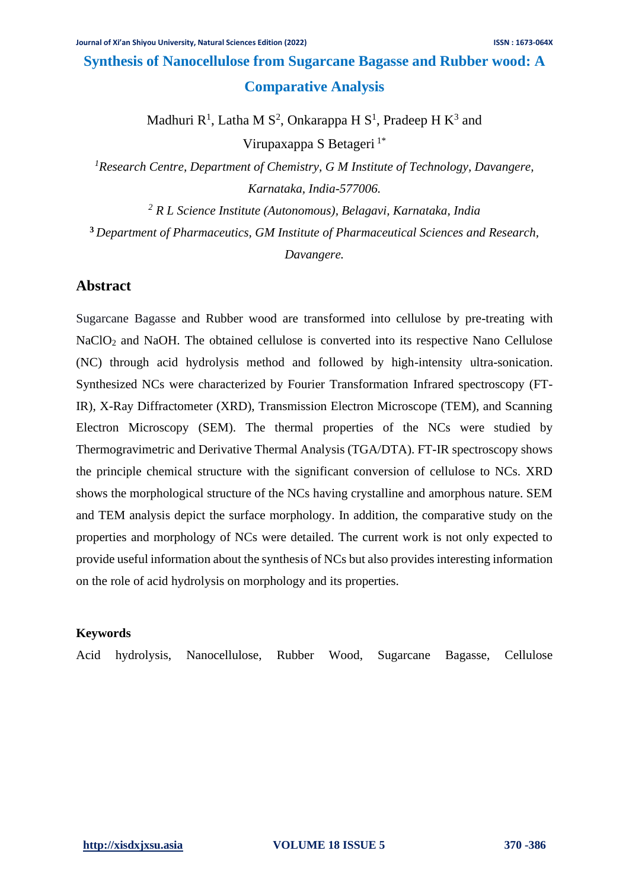# **Synthesis of Nanocellulose from Sugarcane Bagasse and Rubber wood: A Comparative Analysis**

Madhuri  $R^1$ , Latha M S<sup>2</sup>, Onkarappa H S<sup>1</sup>, Pradeep H K<sup>3</sup> and

Virupaxappa S Betageri<sup>1\*</sup>

*<sup>1</sup>Research Centre, Department of Chemistry, G M Institute of Technology, Davangere, Karnataka, India-577006.*

*<sup>2</sup> R L Science Institute (Autonomous), Belagavi, Karnataka, India*

**<sup>3</sup>** *Department of Pharmaceutics, GM Institute of Pharmaceutical Sciences and Research,* 

*Davangere.*

## **Abstract**

Sugarcane Bagasse and Rubber wood are transformed into cellulose by pre-treating with NaClO<sub>2</sub> and NaOH. The obtained cellulose is converted into its respective Nano Cellulose (NC) through acid hydrolysis method and followed by high-intensity ultra-sonication. Synthesized NCs were characterized by Fourier Transformation Infrared spectroscopy (FT-IR), X-Ray Diffractometer (XRD), Transmission Electron Microscope (TEM), and Scanning Electron Microscopy (SEM). The thermal properties of the NCs were studied by Thermogravimetric and Derivative Thermal Analysis (TGA/DTA). FT-IR spectroscopy shows the principle chemical structure with the significant conversion of cellulose to NCs. XRD shows the morphological structure of the NCs having crystalline and amorphous nature. SEM and TEM analysis depict the surface morphology. In addition, the comparative study on the properties and morphology of NCs were detailed. The current work is not only expected to provide useful information about the synthesis of NCs but also provides interesting information on the role of acid hydrolysis on morphology and its properties.

### **Keywords**

Acid hydrolysis, Nanocellulose, Rubber Wood, Sugarcane Bagasse, Cellulose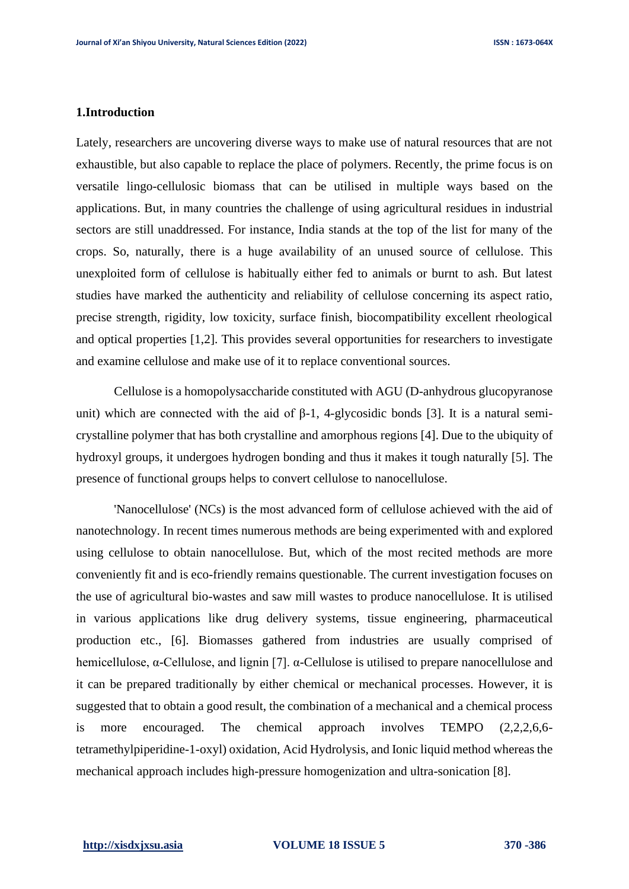#### **1.Introduction**

Lately, researchers are uncovering diverse ways to make use of natural resources that are not exhaustible, but also capable to replace the place of polymers. Recently, the prime focus is on versatile lingo-cellulosic biomass that can be utilised in multiple ways based on the applications. But, in many countries the challenge of using agricultural residues in industrial sectors are still unaddressed. For instance, India stands at the top of the list for many of the crops. So, naturally, there is a huge availability of an unused source of cellulose. This unexploited form of cellulose is habitually either fed to animals or burnt to ash. But latest studies have marked the authenticity and reliability of cellulose concerning its aspect ratio, precise strength, rigidity, low toxicity, surface finish, biocompatibility excellent rheological and optical properties [1,2]. This provides several opportunities for researchers to investigate and examine cellulose and make use of it to replace conventional sources.

Cellulose is a homopolysaccharide constituted with AGU (D-anhydrous glucopyranose unit) which are connected with the aid of  $\beta$ -1, 4-glycosidic bonds [3]. It is a natural semicrystalline polymer that has both crystalline and amorphous regions [4]. Due to the ubiquity of hydroxyl groups, it undergoes hydrogen bonding and thus it makes it tough naturally [5]. The presence of functional groups helps to convert cellulose to nanocellulose.

'Nanocellulose' (NCs) is the most advanced form of cellulose achieved with the aid of nanotechnology. In recent times numerous methods are being experimented with and explored using cellulose to obtain nanocellulose. But, which of the most recited methods are more conveniently fit and is eco-friendly remains questionable. The current investigation focuses on the use of agricultural bio-wastes and saw mill wastes to produce nanocellulose. It is utilised in various applications like drug delivery systems, tissue engineering, pharmaceutical production etc., [6]. Biomasses gathered from industries are usually comprised of hemicellulose,  $\alpha$ -Cellulose, and lignin [7].  $\alpha$ -Cellulose is utilised to prepare nanocellulose and it can be prepared traditionally by either chemical or mechanical processes. However, it is suggested that to obtain a good result, the combination of a mechanical and a chemical process is more encouraged. The chemical approach involves TEMPO (2,2,2,6,6 tetramethylpiperidine-1-oxyl) oxidation, Acid Hydrolysis, and Ionic liquid method whereas the mechanical approach includes high-pressure homogenization and ultra-sonication [8].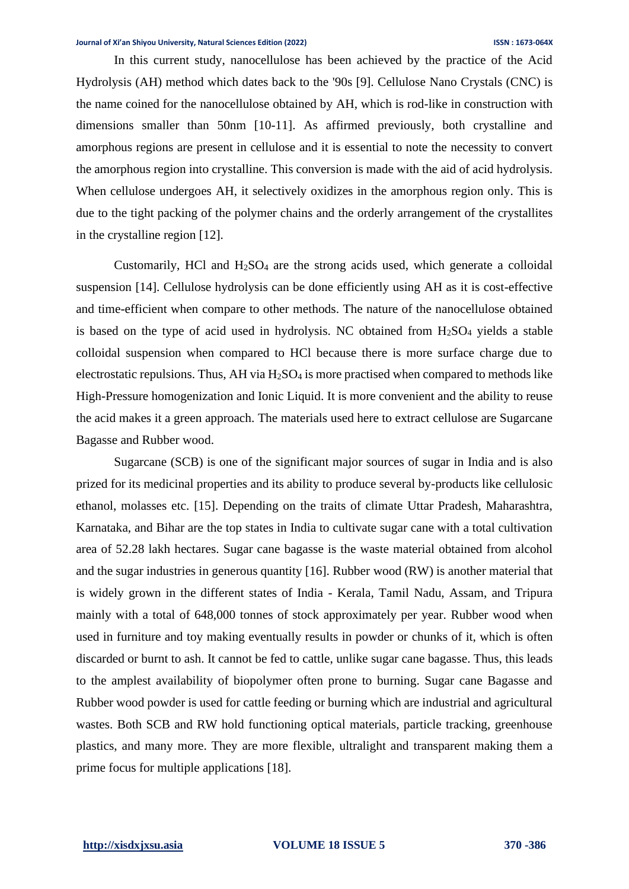In this current study, nanocellulose has been achieved by the practice of the Acid Hydrolysis (AH) method which dates back to the '90s [9]. Cellulose Nano Crystals (CNC) is the name coined for the nanocellulose obtained by AH, which is rod-like in construction with dimensions smaller than 50nm [10-11]. As affirmed previously, both crystalline and amorphous regions are present in cellulose and it is essential to note the necessity to convert the amorphous region into crystalline. This conversion is made with the aid of acid hydrolysis. When cellulose undergoes AH, it selectively oxidizes in the amorphous region only. This is due to the tight packing of the polymer chains and the orderly arrangement of the crystallites in the crystalline region [12].

Customarily, HCl and  $H<sub>2</sub>SO<sub>4</sub>$  are the strong acids used, which generate a colloidal suspension [14]. Cellulose hydrolysis can be done efficiently using AH as it is cost-effective and time-efficient when compare to other methods. The nature of the nanocellulose obtained is based on the type of acid used in hydrolysis. NC obtained from  $H<sub>2</sub>SO<sub>4</sub>$  yields a stable colloidal suspension when compared to HCl because there is more surface charge due to electrostatic repulsions. Thus, AH via  $H_2SO_4$  is more practised when compared to methods like High-Pressure homogenization and Ionic Liquid. It is more convenient and the ability to reuse the acid makes it a green approach. The materials used here to extract cellulose are Sugarcane Bagasse and Rubber wood.

Sugarcane (SCB) is one of the significant major sources of sugar in India and is also prized for its medicinal properties and its ability to produce several by-products like cellulosic ethanol, molasses etc. [15]. Depending on the traits of climate Uttar Pradesh, Maharashtra, Karnataka, and Bihar are the top states in India to cultivate sugar cane with a total cultivation area of 52.28 lakh hectares. Sugar cane bagasse is the waste material obtained from alcohol and the sugar industries in generous quantity [16]. Rubber wood (RW) is another material that is widely grown in the different states of India - Kerala, Tamil Nadu, Assam, and Tripura mainly with a total of 648,000 tonnes of stock approximately per year. Rubber wood when used in furniture and toy making eventually results in powder or chunks of it, which is often discarded or burnt to ash. It cannot be fed to cattle, unlike sugar cane bagasse. Thus, this leads to the amplest availability of biopolymer often prone to burning. Sugar cane Bagasse and Rubber wood powder is used for cattle feeding or burning which are industrial and agricultural wastes. Both SCB and RW hold functioning optical materials, particle tracking, greenhouse plastics, and many more. They are more flexible, ultralight and transparent making them a prime focus for multiple applications [18].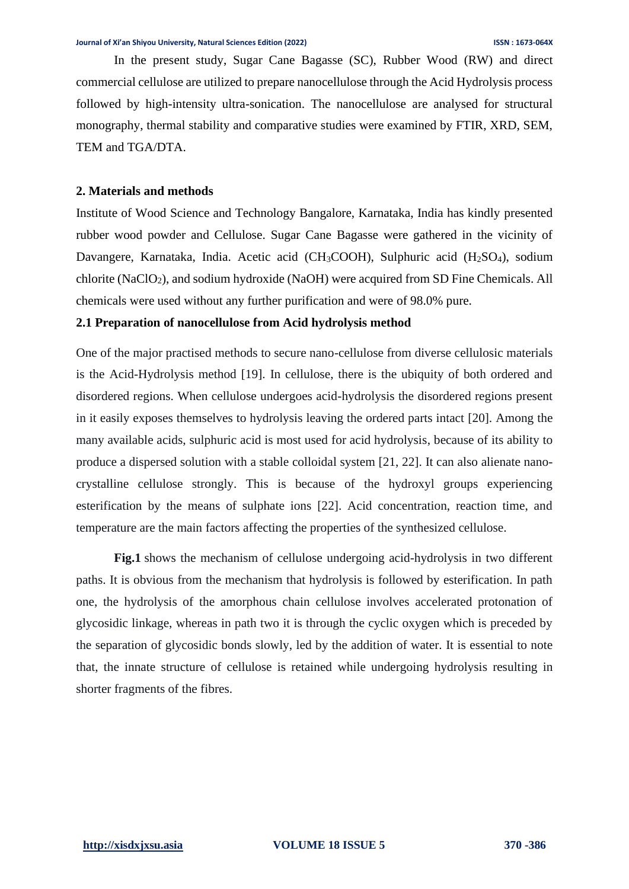In the present study, Sugar Cane Bagasse (SC), Rubber Wood (RW) and direct commercial cellulose are utilized to prepare nanocellulose through the Acid Hydrolysis process followed by high-intensity ultra-sonication. The nanocellulose are analysed for structural monography, thermal stability and comparative studies were examined by FTIR, XRD, SEM, TEM and TGA/DTA.

### **2. Materials and methods**

Institute of Wood Science and Technology Bangalore, Karnataka, India has kindly presented rubber wood powder and Cellulose. Sugar Cane Bagasse were gathered in the vicinity of Davangere, Karnataka, India. Acetic acid (CH<sub>3</sub>COOH), Sulphuric acid (H<sub>2</sub>SO<sub>4</sub>), sodium chlorite (NaClO2), and sodium hydroxide (NaOH) were acquired from SD Fine Chemicals. All chemicals were used without any further purification and were of 98.0% pure.

#### **2.1 Preparation of nanocellulose from Acid hydrolysis method**

One of the major practised methods to secure nano-cellulose from diverse cellulosic materials is the Acid-Hydrolysis method [19]. In cellulose, there is the ubiquity of both ordered and disordered regions. When cellulose undergoes acid-hydrolysis the disordered regions present in it easily exposes themselves to hydrolysis leaving the ordered parts intact [20]. Among the many available acids, sulphuric acid is most used for acid hydrolysis, because of its ability to produce a dispersed solution with a stable colloidal system [21, 22]. It can also alienate nanocrystalline cellulose strongly. This is because of the hydroxyl groups experiencing esterification by the means of sulphate ions [22]. Acid concentration, reaction time, and temperature are the main factors affecting the properties of the synthesized cellulose.

**Fig.1** shows the mechanism of cellulose undergoing acid-hydrolysis in two different paths. It is obvious from the mechanism that hydrolysis is followed by esterification. In path one, the hydrolysis of the amorphous chain cellulose involves accelerated protonation of glycosidic linkage, whereas in path two it is through the cyclic oxygen which is preceded by the separation of glycosidic bonds slowly, led by the addition of water. It is essential to note that, the innate structure of cellulose is retained while undergoing hydrolysis resulting in shorter fragments of the fibres.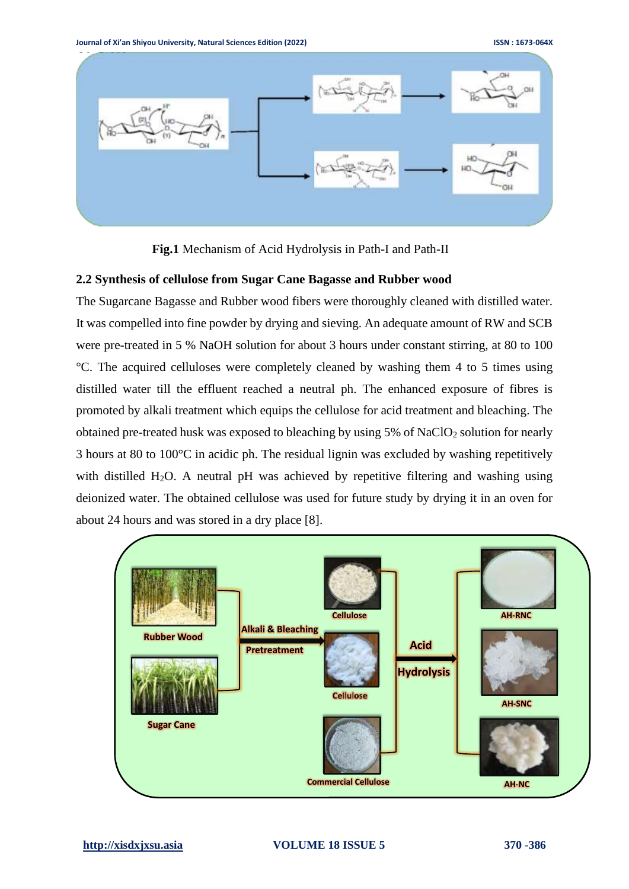

**Fig.1** Mechanism of Acid Hydrolysis in Path-I and Path-II

### **2.2 Synthesis of cellulose from Sugar Cane Bagasse and Rubber wood**

The Sugarcane Bagasse and Rubber wood fibers were thoroughly cleaned with distilled water. It was compelled into fine powder by drying and sieving. An adequate amount of RW and SCB were pre-treated in 5 % NaOH solution for about 3 hours under constant stirring, at 80 to 100 °C. The acquired celluloses were completely cleaned by washing them 4 to 5 times using distilled water till the effluent reached a neutral ph. The enhanced exposure of fibres is promoted by alkali treatment which equips the cellulose for acid treatment and bleaching. The obtained pre-treated husk was exposed to bleaching by using  $5\%$  of NaClO<sub>2</sub> solution for nearly 3 hours at 80 to 100°C in acidic ph. The residual lignin was excluded by washing repetitively with distilled H<sub>2</sub>O. A neutral pH was achieved by repetitive filtering and washing using deionized water. The obtained cellulose was used for future study by drying it in an oven for about 24 hours and was stored in a dry place [8].

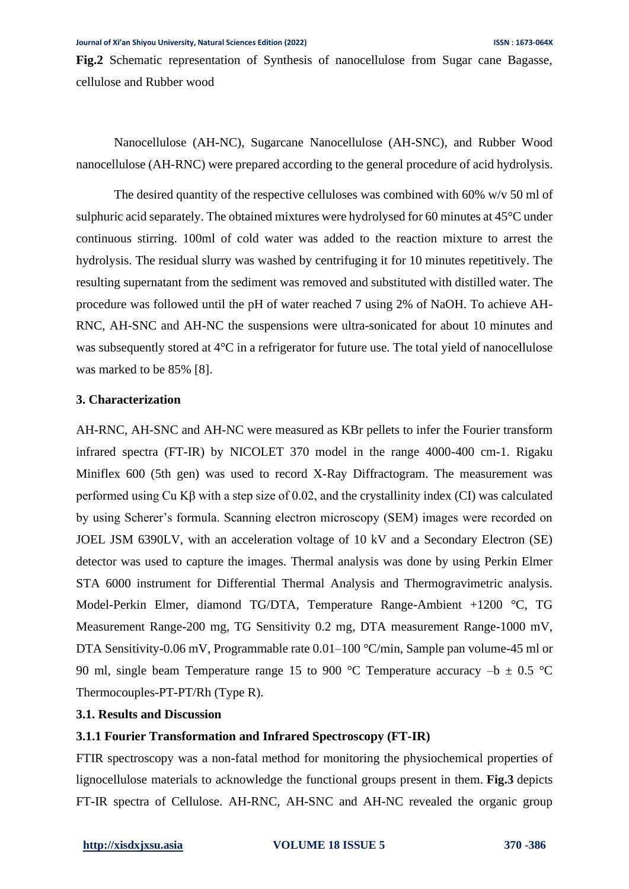**Fig.2** Schematic representation of Synthesis of nanocellulose from Sugar cane Bagasse, cellulose and Rubber wood

Nanocellulose (AH-NC), Sugarcane Nanocellulose (AH-SNC), and Rubber Wood nanocellulose (AH-RNC) were prepared according to the general procedure of acid hydrolysis.

The desired quantity of the respective celluloses was combined with  $60\%$  w/v 50 ml of sulphuric acid separately. The obtained mixtures were hydrolysed for 60 minutes at 45°C under continuous stirring. 100ml of cold water was added to the reaction mixture to arrest the hydrolysis. The residual slurry was washed by centrifuging it for 10 minutes repetitively. The resulting supernatant from the sediment was removed and substituted with distilled water. The procedure was followed until the pH of water reached 7 using 2% of NaOH. To achieve AH-RNC, AH-SNC and AH-NC the suspensions were ultra-sonicated for about 10 minutes and was subsequently stored at 4<sup>o</sup>C in a refrigerator for future use. The total yield of nanocellulose was marked to be 85% [8].

### **3. Characterization**

AH-RNC, AH-SNC and AH-NC were measured as KBr pellets to infer the Fourier transform infrared spectra (FT-IR) by NICOLET 370 model in the range 4000-400 cm-1. Rigaku Miniflex 600 (5th gen) was used to record X-Ray Diffractogram. The measurement was performed using Cu Kβ with a step size of 0.02, and the crystallinity index (CI) was calculated by using Scherer's formula. Scanning electron microscopy (SEM) images were recorded on JOEL JSM 6390LV, with an acceleration voltage of 10 kV and a Secondary Electron (SE) detector was used to capture the images. Thermal analysis was done by using Perkin Elmer STA 6000 instrument for Differential Thermal Analysis and Thermogravimetric analysis. Model-Perkin Elmer, diamond TG/DTA, Temperature Range-Ambient +1200 °C, TG Measurement Range-200 mg, TG Sensitivity 0.2 mg, DTA measurement Range-1000 mV, DTA Sensitivity-0.06 mV, Programmable rate 0.01–100 °C/min, Sample pan volume-45 ml or 90 ml, single beam Temperature range 15 to 900 °C Temperature accuracy  $-b \pm 0.5$  °C Thermocouples-PT-PT/Rh (Type R).

### **3.1. Results and Discussion**

### **3.1.1 Fourier Transformation and Infrared Spectroscopy (FT-IR)**

FTIR spectroscopy was a non-fatal method for monitoring the physiochemical properties of lignocellulose materials to acknowledge the functional groups present in them. **Fig.3** depicts FT-IR spectra of Cellulose. AH-RNC, AH-SNC and AH-NC revealed the organic group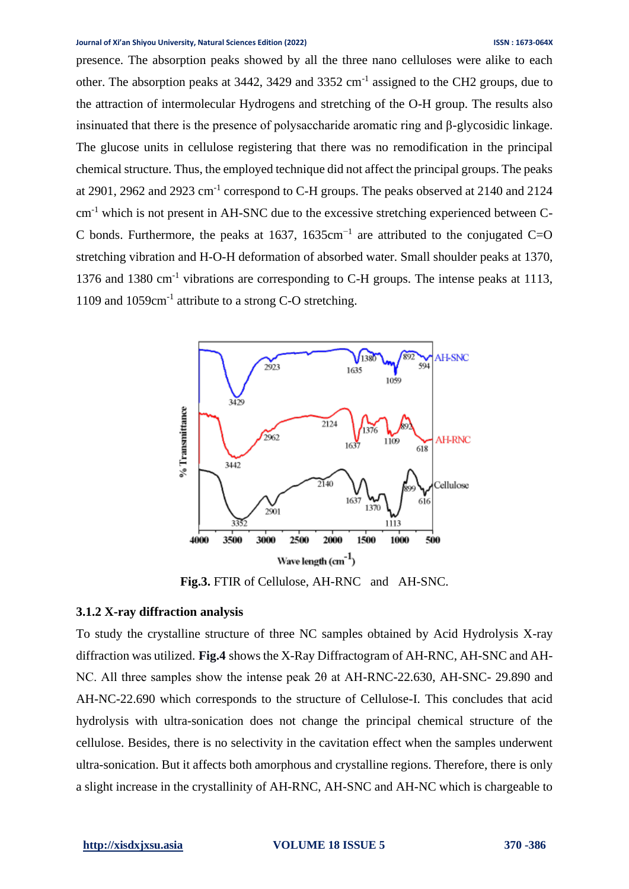presence. The absorption peaks showed by all the three nano celluloses were alike to each other. The absorption peaks at 3442, 3429 and 3352 cm<sup>-1</sup> assigned to the CH2 groups, due to the attraction of intermolecular Hydrogens and stretching of the O-H group. The results also insinuated that there is the presence of polysaccharide aromatic ring and β-glycosidic linkage. The glucose units in cellulose registering that there was no remodification in the principal chemical structure. Thus, the employed technique did not affect the principal groups. The peaks at 2901, 2962 and 2923 cm<sup>-1</sup> correspond to C-H groups. The peaks observed at 2140 and 2124 cm-1 which is not present in AH-SNC due to the excessive stretching experienced between C-C bonds. Furthermore, the peaks at 1637, 1635cm<sup>-1</sup> are attributed to the conjugated C=O stretching vibration and H-O-H deformation of absorbed water. Small shoulder peaks at 1370, 1376 and 1380 cm<sup>-1</sup> vibrations are corresponding to C-H groups. The intense peaks at 1113, 1109 and 1059cm-1 attribute to a strong C-O stretching.



**Fig.3.** FTIR of Cellulose, AH-RNC and AH-SNC.

#### **3.1.2 X-ray diffraction analysis**

To study the crystalline structure of three NC samples obtained by Acid Hydrolysis X-ray diffraction was utilized. **Fig.4** shows the X-Ray Diffractogram of AH-RNC, AH-SNC and AH-NC. All three samples show the intense peak 2θ at AH-RNC-22.630, AH-SNC- 29.890 and AH-NC-22.690 which corresponds to the structure of Cellulose-I. This concludes that acid hydrolysis with ultra-sonication does not change the principal chemical structure of the cellulose. Besides, there is no selectivity in the cavitation effect when the samples underwent ultra-sonication. But it affects both amorphous and crystalline regions. Therefore, there is only a slight increase in the crystallinity of AH-RNC, AH-SNC and AH-NC which is chargeable to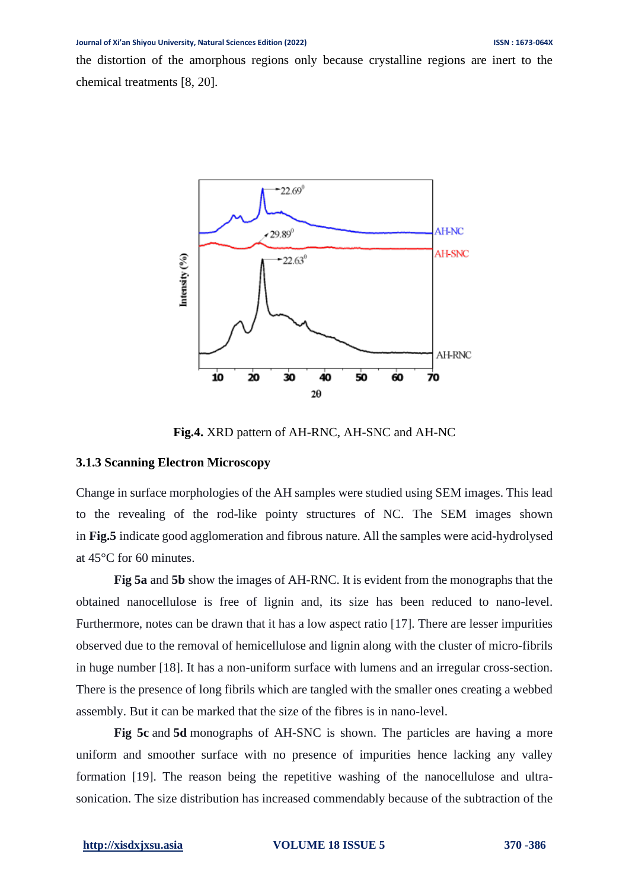the distortion of the amorphous regions only because crystalline regions are inert to the chemical treatments [8, 20].



**Fig.4.** XRD pattern of AH-RNC, AH-SNC and AH-NC

#### **3.1.3 Scanning Electron Microscopy**

Change in surface morphologies of the AH samples were studied using SEM images. This lead to the revealing of the rod-like pointy structures of NC. The SEM images shown in **Fig.5** indicate good agglomeration and fibrous nature. All the samples were acid-hydrolysed at 45°C for 60 minutes.

**Fig 5a** and **5b** show the images of AH-RNC. It is evident from the monographs that the obtained nanocellulose is free of lignin and, its size has been reduced to nano-level. Furthermore, notes can be drawn that it has a low aspect ratio [17]. There are lesser impurities observed due to the removal of hemicellulose and lignin along with the cluster of micro-fibrils in huge number [18]. It has a non-uniform surface with lumens and an irregular cross-section. There is the presence of long fibrils which are tangled with the smaller ones creating a webbed assembly. But it can be marked that the size of the fibres is in nano-level.

**Fig 5c** and **5d** monographs of AH-SNC is shown. The particles are having a more uniform and smoother surface with no presence of impurities hence lacking any valley formation [19]. The reason being the repetitive washing of the nanocellulose and ultrasonication. The size distribution has increased commendably because of the subtraction of the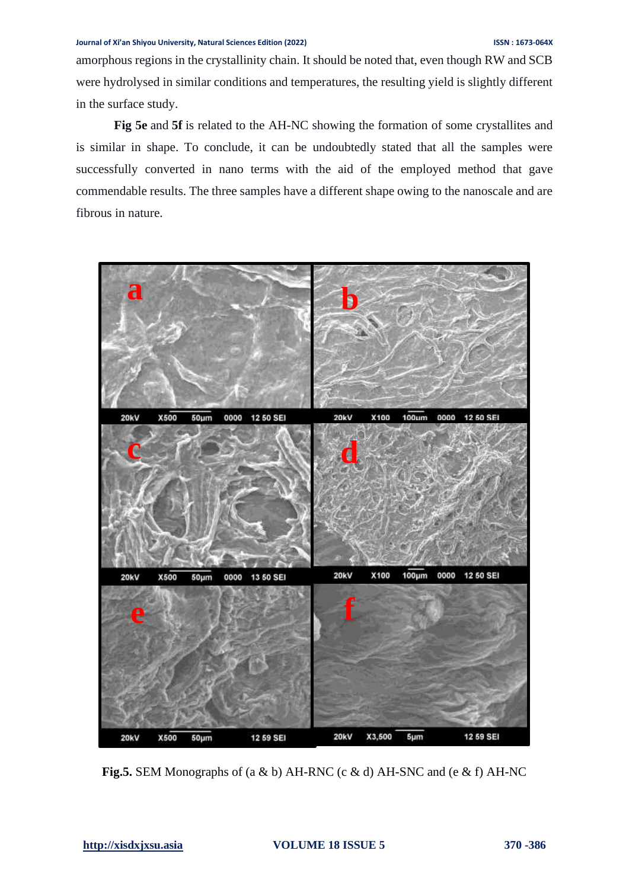amorphous regions in the crystallinity chain. It should be noted that, even though RW and SCB were hydrolysed in similar conditions and temperatures, the resulting yield is slightly different in the surface study.

**Fig 5e** and **5f** is related to the AH-NC showing the formation of some crystallites and is similar in shape. To conclude, it can be undoubtedly stated that all the samples were successfully converted in nano terms with the aid of the employed method that gave commendable results. The three samples have a different shape owing to the nanoscale and are fibrous in nature.



**Fig.5.** SEM Monographs of (a & b) AH-RNC (c & d) AH-SNC and (e & f) AH-NC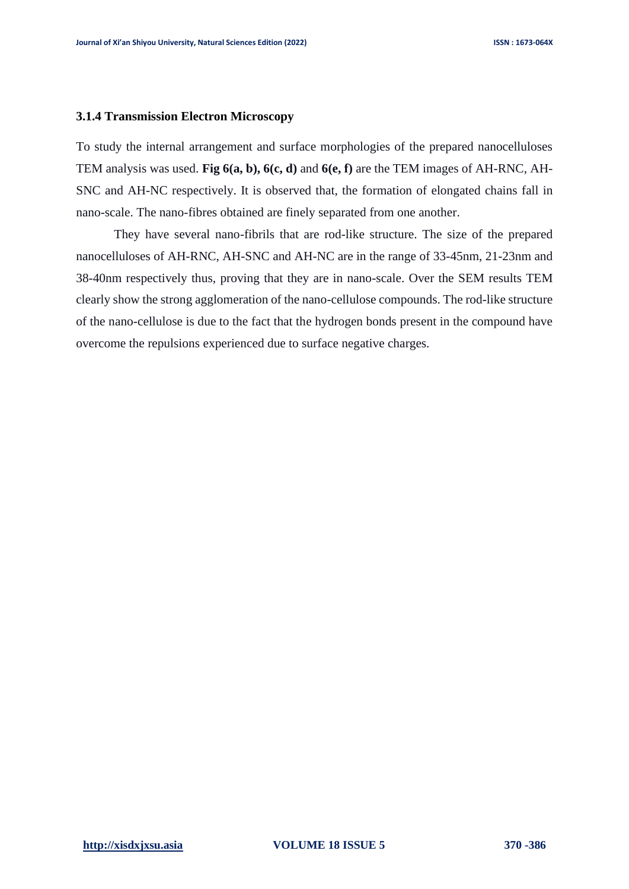#### **3.1.4 Transmission Electron Microscopy**

To study the internal arrangement and surface morphologies of the prepared nanocelluloses TEM analysis was used. **Fig 6(a, b), 6(c, d)** and **6(e, f)** are the TEM images of AH-RNC, AH-SNC and AH-NC respectively. It is observed that, the formation of elongated chains fall in nano-scale. The nano-fibres obtained are finely separated from one another.

They have several nano-fibrils that are rod-like structure. The size of the prepared nanocelluloses of AH-RNC, AH-SNC and AH-NC are in the range of 33-45nm, 21-23nm and 38-40nm respectively thus, proving that they are in nano-scale. Over the SEM results TEM clearly show the strong agglomeration of the nano-cellulose compounds. The rod-like structure of the nano-cellulose is due to the fact that the hydrogen bonds present in the compound have overcome the repulsions experienced due to surface negative charges.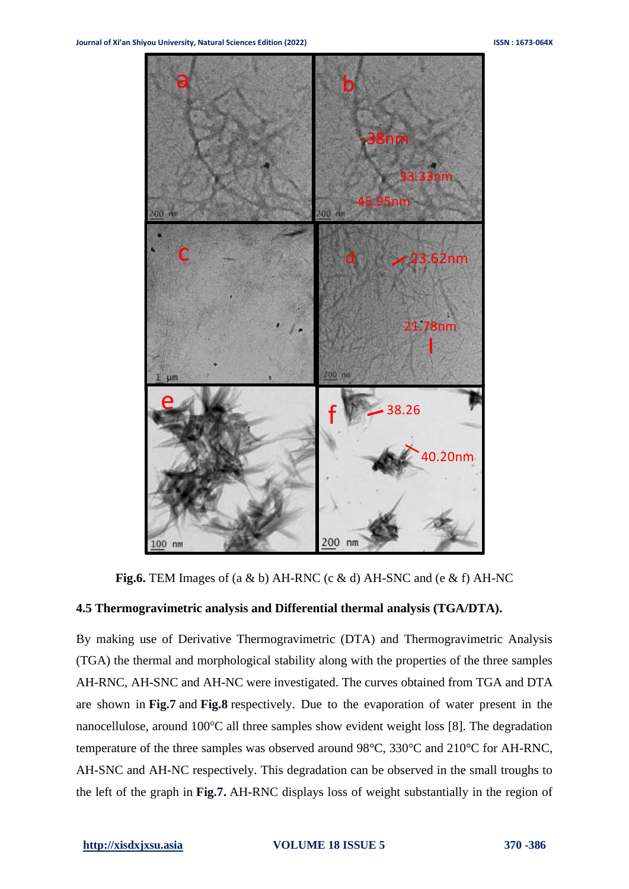

**Fig.6.** TEM Images of (a & b) AH-RNC (c & d) AH-SNC and (e & f) AH-NC

#### **4.5 Thermogravimetric analysis and Differential thermal analysis (TGA/DTA).**

By making use of Derivative Thermogravimetric (DTA) and Thermogravimetric Analysis (TGA) the thermal and morphological stability along with the properties of the three samples AH-RNC, AH-SNC and AH-NC were investigated. The curves obtained from TGA and DTA are shown in **Fig.7** and **Fig.8** respectively. Due to the evaporation of water present in the nanocellulose, around  $100^{\circ}$ C all three samples show evident weight loss [8]. The degradation temperature of the three samples was observed around 98°C, 330°C and 210°C for AH-RNC, AH-SNC and AH-NC respectively. This degradation can be observed in the small troughs to the left of the graph in **Fig.7.** AH-RNC displays loss of weight substantially in the region of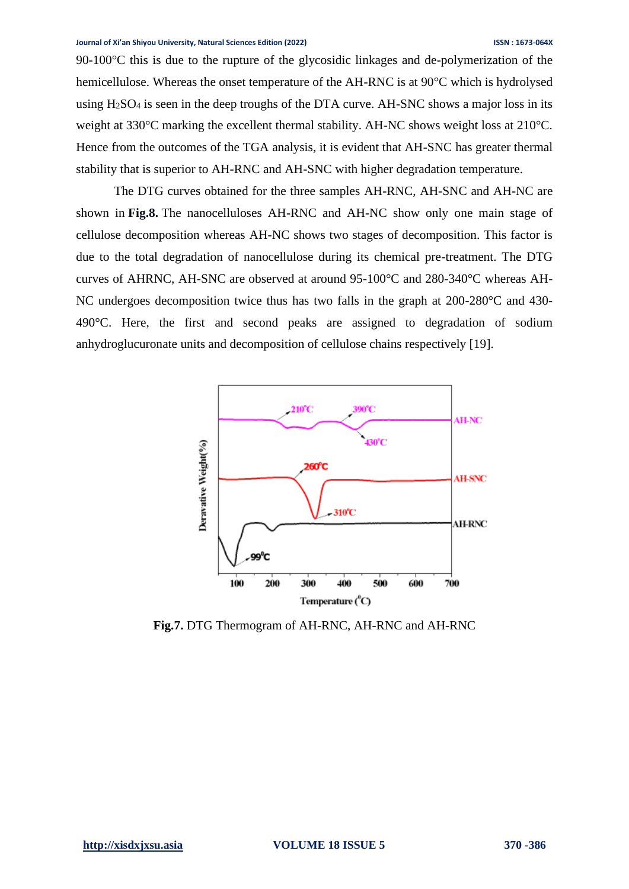90-100°C this is due to the rupture of the glycosidic linkages and de-polymerization of the hemicellulose. Whereas the onset temperature of the AH-RNC is at 90°C which is hydrolysed using  $H<sub>2</sub>SO<sub>4</sub>$  is seen in the deep troughs of the DTA curve. AH-SNC shows a major loss in its weight at 330°C marking the excellent thermal stability. AH-NC shows weight loss at 210°C. Hence from the outcomes of the TGA analysis, it is evident that AH-SNC has greater thermal stability that is superior to AH-RNC and AH-SNC with higher degradation temperature.

The DTG curves obtained for the three samples AH-RNC, AH-SNC and AH-NC are shown in **Fig.8.** The nanocelluloses AH-RNC and AH-NC show only one main stage of cellulose decomposition whereas AH-NC shows two stages of decomposition. This factor is due to the total degradation of nanocellulose during its chemical pre-treatment. The DTG curves of AHRNC, AH-SNC are observed at around 95-100°C and 280-340°C whereas AH-NC undergoes decomposition twice thus has two falls in the graph at 200-280°C and 430- 490°C. Here, the first and second peaks are assigned to degradation of sodium anhydroglucuronate units and decomposition of cellulose chains respectively [19].



**Fig.7.** DTG Thermogram of AH-RNC, AH-RNC and AH-RNC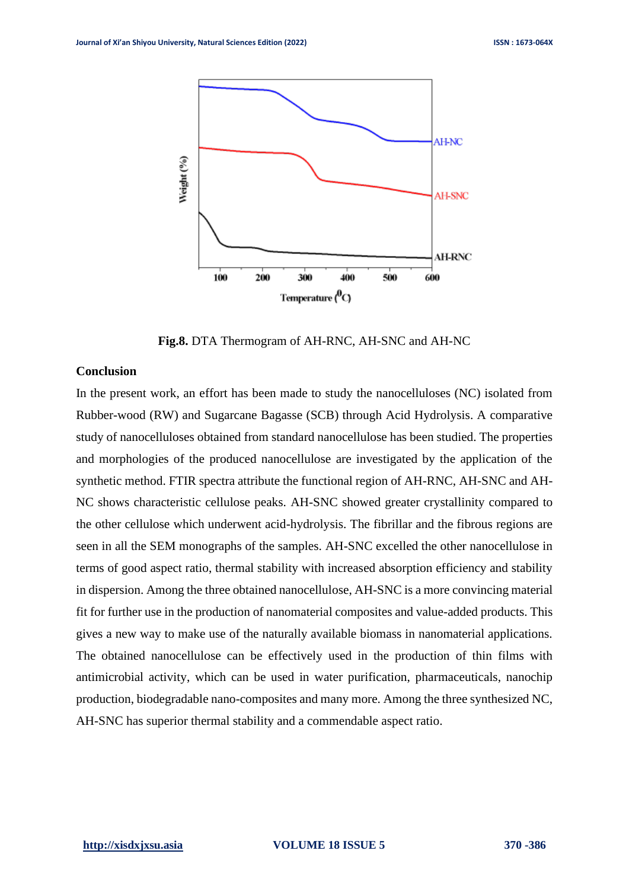

**Fig.8.** DTA Thermogram of AH-RNC, AH-SNC and AH-NC

#### **Conclusion**

In the present work, an effort has been made to study the nanocelluloses (NC) isolated from Rubber-wood (RW) and Sugarcane Bagasse (SCB) through Acid Hydrolysis. A comparative study of nanocelluloses obtained from standard nanocellulose has been studied. The properties and morphologies of the produced nanocellulose are investigated by the application of the synthetic method. FTIR spectra attribute the functional region of AH-RNC, AH-SNC and AH-NC shows characteristic cellulose peaks. AH-SNC showed greater crystallinity compared to the other cellulose which underwent acid-hydrolysis. The fibrillar and the fibrous regions are seen in all the SEM monographs of the samples. AH-SNC excelled the other nanocellulose in terms of good aspect ratio, thermal stability with increased absorption efficiency and stability in dispersion. Among the three obtained nanocellulose, AH-SNC is a more convincing material fit for further use in the production of nanomaterial composites and value-added products. This gives a new way to make use of the naturally available biomass in nanomaterial applications. The obtained nanocellulose can be effectively used in the production of thin films with antimicrobial activity, which can be used in water purification, pharmaceuticals, nanochip production, biodegradable nano-composites and many more. Among the three synthesized NC, AH-SNC has superior thermal stability and a commendable aspect ratio.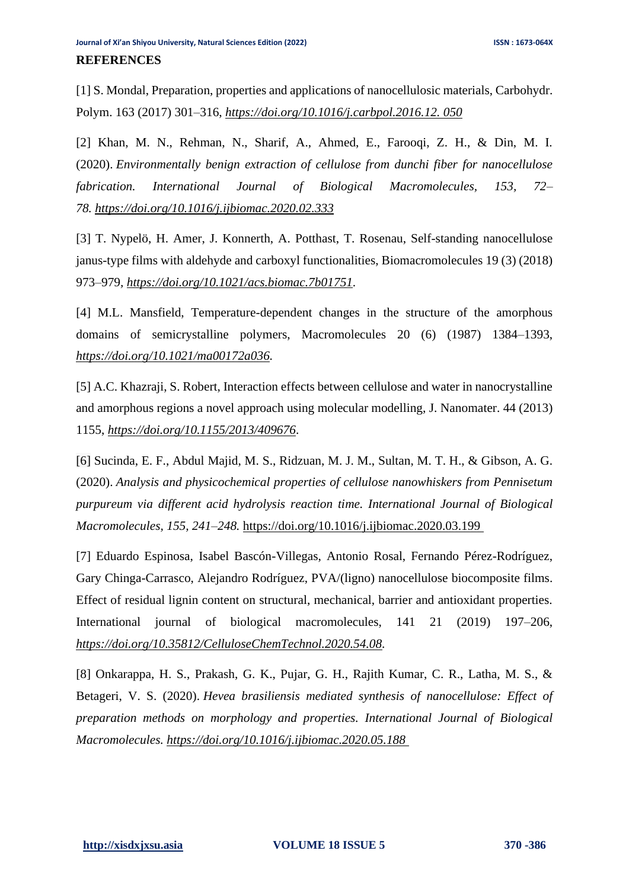[1] S. Mondal, Preparation, properties and applications of nanocellulosic materials, Carbohydr. Polym. 163 (2017) 301–316, *[https://doi.org/10.1016/j.carbpol.2016.12. 050](https://doi.org/10.1016/j.carbpol.2016.12.%20050)*

[2] Khan, M. N., Rehman, N., Sharif, A., Ahmed, E., Farooqi, Z. H., & Din, M. I. (2020). *Environmentally benign extraction of cellulose from dunchi fiber for nanocellulose fabrication. International Journal of Biological Macromolecules, 153, 72– 78. https://doi.org/10.1016/j.ijbiomac.2020.02.333*

[3] T. Nypelö, H. Amer, J. Konnerth, A. Potthast, T. Rosenau, Self-standing nanocellulose janus-type films with aldehyde and carboxyl functionalities, Biomacromolecules 19 (3) (2018) 973–979*, [https://doi.org/10.1021/acs.biomac.7b01751.](https://doi.org/10.1021/acs.biomac.7b01751)*

[4] M.L. Mansfield, Temperature-dependent changes in the structure of the amorphous domains of semicrystalline polymers, Macromolecules 20 (6) (1987) 1384–1393, *[https://doi.org/10.1021/ma00172a036.](https://doi.org/10.1021/ma00172a036)*

[5] A.C. Khazraji, S. Robert, Interaction effects between cellulose and water in nanocrystalline and amorphous regions a novel approach using molecular modelling, J. Nanomater. 44 (2013) 1155, *<https://doi.org/10.1155/2013/409676>*.

[6] Sucinda, E. F., Abdul Majid, M. S., Ridzuan, M. J. M., Sultan, M. T. H., & Gibson, A. G. (2020). *Analysis and physicochemical properties of cellulose nanowhiskers from Pennisetum purpureum via different acid hydrolysis reaction time. International Journal of Biological Macromolecules, 155, 241–248.* https://doi.org/10.1016/j.ijbiomac.2020.03.199

[7] Eduardo Espinosa, Isabel Bascón-Villegas, Antonio Rosal, Fernando Pérez-Rodríguez, Gary Chinga-Carrasco, Alejandro Rodríguez, PVA/(ligno) nanocellulose biocomposite films. Effect of residual lignin content on structural, mechanical, barrier and antioxidant properties. International journal of biological macromolecules, 141 21 (2019) 197–206, *[https://doi.org/10.35812/CelluloseChemTechnol.2020.54.08.](https://doi.org/10.35812/CelluloseChemTechnol.2020.54.08)*

[8] Onkarappa, H. S., Prakash, G. K., Pujar, G. H., Rajith Kumar, C. R., Latha, M. S., & Betageri, V. S. (2020). *Hevea brasiliensis mediated synthesis of nanocellulose: Effect of preparation methods on morphology and properties. International Journal of Biological Macromolecules. https://doi.org/10.1016/j.ijbiomac.2020.05.188*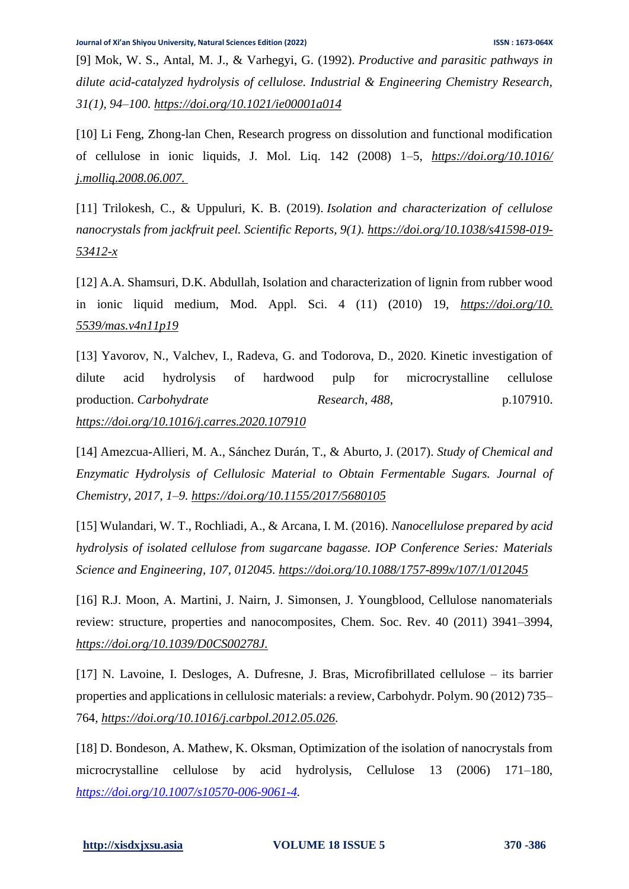[9] Mok, W. S., Antal, M. J., & Varhegyi, G. (1992). *Productive and parasitic pathways in dilute acid-catalyzed hydrolysis of cellulose. Industrial & Engineering Chemistry Research, 31(1), 94–100. https://doi.org/10.1021/ie00001a014*

[10] Li Feng, Zhong-lan Chen, Research progress on dissolution and functional modification of cellulose in ionic liquids, J. Mol. Liq. 142 (2008) 1–5, *https://doi.org/10.1016/ j.molliq.2008.06.007.*

[11] Trilokesh, C., & Uppuluri, K. B. (2019). *Isolation and characterization of cellulose nanocrystals from jackfruit peel. Scientific Reports, 9(1). https://doi.org/10.1038/s41598-019- 53412-x*

[12] A.A. Shamsuri, D.K. Abdullah, Isolation and characterization of lignin from rubber wood in ionic liquid medium, Mod. Appl. Sci. 4 (11) (2010) 19, *[https://doi.org/10.](https://doi.org/10.%205539/mas.v4n11p19)  [5539/mas.v4n11p19](https://doi.org/10.%205539/mas.v4n11p19)*

[13] Yavorov, N., Valchev, I., Radeva, G. and Todorova, D., 2020. Kinetic investigation of dilute acid hydrolysis of hardwood pulp for microcrystalline cellulose production. *Carbohydrate Research*, *488*, p.107910. *https://doi.org[/10.1016/j.carres.2020.107910](https://doi.org/10.1016/j.carres.2020.107910)*

[14] Amezcua-Allieri, M. A., Sánchez Durán, T., & Aburto, J. (2017). *Study of Chemical and Enzymatic Hydrolysis of Cellulosic Material to Obtain Fermentable Sugars. Journal of Chemistry, 2017, 1–9. https://doi.org/10.1155/2017/5680105*

[15] Wulandari, W. T., Rochliadi, A., & Arcana, I. M. (2016). *Nanocellulose prepared by acid hydrolysis of isolated cellulose from sugarcane bagasse. IOP Conference Series: Materials Science and Engineering, 107, 012045. https://doi.org/10.1088/1757-899x/107/1/012045*

[16] R.J. Moon, A. Martini, J. Nairn, J. Simonsen, J. Youngblood, Cellulose nanomaterials review: structure, properties and nanocomposites, Chem. Soc. Rev. 40 (2011) 3941–3994, *https://doi.org/10.1039/D0CS00278J.*

[17] N. Lavoine, I. Desloges, A. Dufresne, J. Bras, Microfibrillated cellulose – its barrier properties and applications in cellulosic materials: a review, Carbohydr. Polym. 90 (2012) 735– 764*, [https://doi.org/10.1016/j.carbpol.2012.05.026.](https://doi.org/10.1016/j.carbpol.2012.05.026)*

[18] D. Bondeson, A. Mathew, K. Oksman, Optimization of the isolation of nanocrystals from microcrystalline cellulose by acid hydrolysis, Cellulose 13 (2006) 171–180, *[https://doi.org/10.1007/s10570-006-9061-4.](https://doi.org/10.1007/s10570-006-9061-4)*